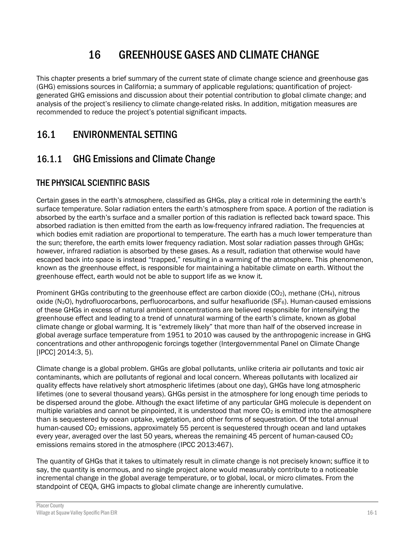# 16 GREENHOUSE GASES AND CLIMATE CHANGE

This chapter presents a brief summary of the current state of climate change science and greenhouse gas (GHG) emissions sources in California; a summary of applicable regulations; quantification of projectgenerated GHG emissions and discussion about their potential contribution to global climate change; and analysis of the project's resiliency to climate change-related risks. In addition, mitigation measures are recommended to reduce the project's potential significant impacts.

# 16.1 ENVIRONMENTAL SETTING

# 16.1.1 GHG Emissions and Climate Change

# THE PHYSICAL SCIENTIFIC BASIS

Certain gases in the earth's atmosphere, classified as GHGs, play a critical role in determining the earth's surface temperature. Solar radiation enters the earth's atmosphere from space. A portion of the radiation is absorbed by the earth's surface and a smaller portion of this radiation is reflected back toward space. This absorbed radiation is then emitted from the earth as low-frequency infrared radiation. The frequencies at which bodies emit radiation are proportional to temperature. The earth has a much lower temperature than the sun; therefore, the earth emits lower frequency radiation. Most solar radiation passes through GHGs; however, infrared radiation is absorbed by these gases. As a result, radiation that otherwise would have escaped back into space is instead "trapped," resulting in a warming of the atmosphere. This phenomenon, known as the greenhouse effect, is responsible for maintaining a habitable climate on earth. Without the greenhouse effect, earth would not be able to support life as we know it.

Prominent GHGs contributing to the greenhouse effect are carbon dioxide ( $CO<sub>2</sub>$ ), methane (CH<sub>4</sub>), nitrous oxide (N2O), hydrofluorocarbons, perfluorocarbons, and sulfur hexafluoride (SF6). Human-caused emissions of these GHGs in excess of natural ambient concentrations are believed responsible for intensifying the greenhouse effect and leading to a trend of unnatural warming of the earth's climate, known as global climate change or global warming. It is "extremely likely" that more than half of the observed increase in global average surface temperature from 1951 to 2010 was caused by the anthropogenic increase in GHG concentrations and other anthropogenic forcings together (Intergovernmental Panel on Climate Change [IPCC] 2014:3, 5).

Climate change is a global problem. GHGs are global pollutants, unlike criteria air pollutants and toxic air contaminants, which are pollutants of regional and local concern. Whereas pollutants with localized air quality effects have relatively short atmospheric lifetimes (about one day), GHGs have long atmospheric lifetimes (one to several thousand years). GHGs persist in the atmosphere for long enough time periods to be dispersed around the globe. Although the exact lifetime of any particular GHG molecule is dependent on multiple variables and cannot be pinpointed, it is understood that more  $CO<sub>2</sub>$  is emitted into the atmosphere than is sequestered by ocean uptake, vegetation, and other forms of sequestration. Of the total annual human-caused CO<sub>2</sub> emissions, approximately 55 percent is sequestered through ocean and land uptakes every year, averaged over the last 50 years, whereas the remaining 45 percent of human-caused  $CO<sub>2</sub>$ emissions remains stored in the atmosphere (IPCC 2013:467).

The quantity of GHGs that it takes to ultimately result in climate change is not precisely known; suffice it to say, the quantity is enormous, and no single project alone would measurably contribute to a noticeable incremental change in the global average temperature, or to global, local, or micro climates. From the standpoint of CEQA, GHG impacts to global climate change are inherently cumulative.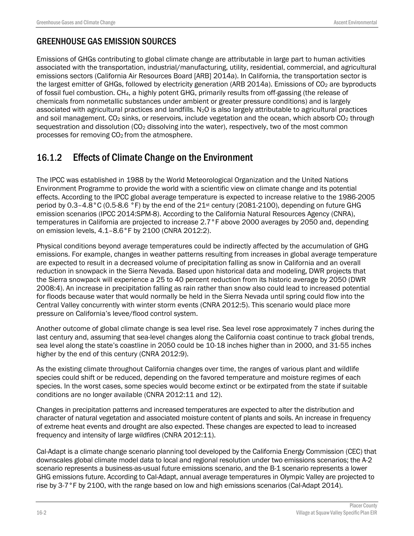## GREENHOUSE GAS EMISSION SOURCES

Emissions of GHGs contributing to global climate change are attributable in large part to human activities associated with the transportation, industrial/manufacturing, utility, residential, commercial, and agricultural emissions sectors (California Air Resources Board [ARB] 2014a). In California, the transportation sector is the largest emitter of GHGs, followed by electricity generation (ARB 2014a). Emissions of CO<sub>2</sub> are byproducts of fossil fuel combustion. CH4, a highly potent GHG, primarily results from off-gassing (the release of chemicals from nonmetallic substances under ambient or greater pressure conditions) and is largely associated with agricultural practices and landfills.  $N_2O$  is also largely attributable to agricultural practices and soil management. CO<sub>2</sub> sinks, or reservoirs, include vegetation and the ocean, which absorb CO<sub>2</sub> through sequestration and dissolution (CO<sub>2</sub> dissolving into the water), respectively, two of the most common processes for removing CO2 from the atmosphere.

# 16.1.2 Effects of Climate Change on the Environment

The IPCC was established in 1988 by the World Meteorological Organization and the United Nations Environment Programme to provide the world with a scientific view on climate change and its potential effects. According to the IPCC global average temperature is expected to increase relative to the 1986-2005 period by 0.3–4.8°C (0.5-8.6 °F) by the end of the 21st century (2081-2100), depending on future GHG emission scenarios (IPCC 2014:SPM-8). According to the California Natural Resources Agency (CNRA), temperatures in California are projected to increase 2.7°F above 2000 averages by 2050 and, depending on emission levels, 4.1–8.6°F by 2100 (CNRA 2012:2).

Physical conditions beyond average temperatures could be indirectly affected by the accumulation of GHG emissions. For example, changes in weather patterns resulting from increases in global average temperature are expected to result in a decreased volume of precipitation falling as snow in California and an overall reduction in snowpack in the Sierra Nevada. Based upon historical data and modeling, DWR projects that the Sierra snowpack will experience a 25 to 40 percent reduction from its historic average by 2050 (DWR 2008:4). An increase in precipitation falling as rain rather than snow also could lead to increased potential for floods because water that would normally be held in the Sierra Nevada until spring could flow into the Central Valley concurrently with winter storm events (CNRA 2012:5). This scenario would place more pressure on California's levee/flood control system.

Another outcome of global climate change is sea level rise. Sea level rose approximately 7 inches during the last century and, assuming that sea-level changes along the California coast continue to track global trends, sea level along the state's coastline in 2050 could be 10-18 inches higher than in 2000, and 31-55 inches higher by the end of this century (CNRA 2012:9).

As the existing climate throughout California changes over time, the ranges of various plant and wildlife species could shift or be reduced, depending on the favored temperature and moisture regimes of each species. In the worst cases, some species would become extinct or be extirpated from the state if suitable conditions are no longer available (CNRA 2012:11 and 12).

Changes in precipitation patterns and increased temperatures are expected to alter the distribution and character of natural vegetation and associated moisture content of plants and soils. An increase in frequency of extreme heat events and drought are also expected. These changes are expected to lead to increased frequency and intensity of large wildfires (CNRA 2012:11).

Cal-Adapt is a climate change scenario planning tool developed by the California Energy Commission (CEC) that downscales global climate model data to local and regional resolution under two emissions scenarios; the A-2 scenario represents a business-as-usual future emissions scenario, and the B-1 scenario represents a lower GHG emissions future. According to Cal-Adapt, annual average temperatures in Olympic Valley are projected to rise by 3-7°F by 2100, with the range based on low and high emissions scenarios (Cal-Adapt 2014).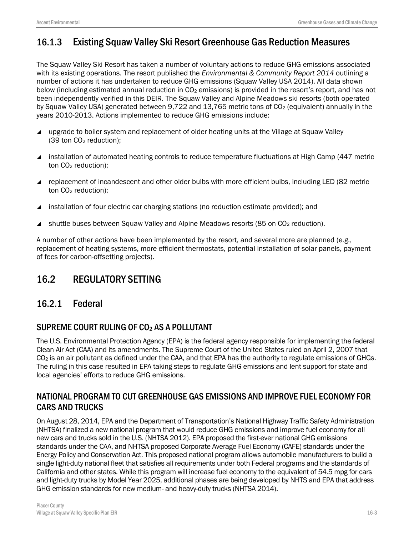# 16.1.3 Existing Squaw Valley Ski Resort Greenhouse Gas Reduction Measures

The Squaw Valley Ski Resort has taken a number of voluntary actions to reduce GHG emissions associated with its existing operations. The resort published the *Environmental & Community Report 2014* outlining a number of actions it has undertaken to reduce GHG emissions (Squaw Valley USA 2014). All data shown below (including estimated annual reduction in CO<sub>2</sub> emissions) is provided in the resort's report, and has not been independently verified in this DEIR. The Squaw Valley and Alpine Meadows ski resorts (both operated by Squaw Valley USA) generated between 9,722 and 13,765 metric tons of CO<sub>2</sub> (equivalent) annually in the years 2010-2013. Actions implemented to reduce GHG emissions include:

- upgrade to boiler system and replacement of older heating units at the Village at Squaw Valley (39 ton CO2 reduction);
- installation of automated heating controls to reduce temperature fluctuations at High Camp (447 metric ton CO2 reduction);
- replacement of incandescent and other older bulbs with more efficient bulbs, including LED (82 metric ton CO<sub>2</sub> reduction);
- installation of four electric car charging stations (no reduction estimate provided); and
- shuttle buses between Squaw Valley and Alpine Meadows resorts (85 on CO<sub>2</sub> reduction).

A number of other actions have been implemented by the resort, and several more are planned (e.g., replacement of heating systems, more efficient thermostats, potential installation of solar panels, payment of fees for carbon-offsetting projects).

# 16.2 REGULATORY SETTING

# 16.2.1 Federal

## SUPREME COURT RULING OF CO2 AS A POLLUTANT

The U.S. Environmental Protection Agency (EPA) is the federal agency responsible for implementing the federal Clean Air Act (CAA) and its amendments. The Supreme Court of the United States ruled on April 2, 2007 that  $CO<sub>2</sub>$  is an air pollutant as defined under the CAA, and that EPA has the authority to regulate emissions of GHGs. The ruling in this case resulted in EPA taking steps to regulate GHG emissions and lent support for state and local agencies' efforts to reduce GHG emissions.

## NATIONAL PROGRAM TO CUT GREENHOUSE GAS EMISSIONS AND IMPROVE FUEL ECONOMY FOR CARS AND TRUCKS

On August 28, 2014, EPA and the Department of Transportation's National Highway Traffic Safety Administration (NHTSA) finalized a new national program that would reduce GHG emissions and improve fuel economy for all new cars and trucks sold in the U.S. (NHTSA 2012). EPA proposed the first-ever national GHG emissions standards under the CAA, and NHTSA proposed Corporate Average Fuel Economy (CAFE) standards under the Energy Policy and Conservation Act. This proposed national program allows automobile manufacturers to build a single light-duty national fleet that satisfies all requirements under both Federal programs and the standards of California and other states. While this program will increase fuel economy to the equivalent of 54.5 mpg for cars and light-duty trucks by Model Year 2025, additional phases are being developed by NHTS and EPA that address GHG emission standards for new medium- and heavy-duty trucks (NHTSA 2014).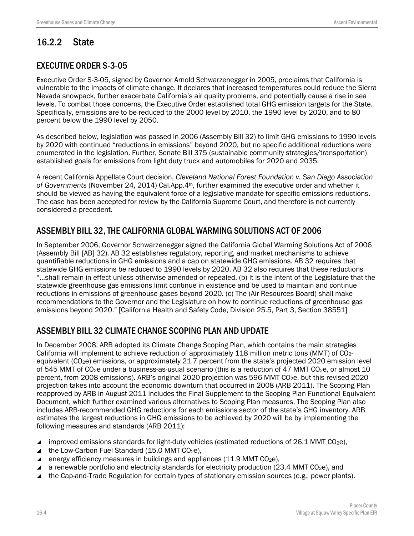# 16.2.2 State

## EXECUTIVE ORDER S-3-05

Executive Order S-3-05, signed by Governor Arnold Schwarzenegger in 2005, proclaims that California is vulnerable to the impacts of climate change. It declares that increased temperatures could reduce the Sierra Nevada snowpack, further exacerbate California's air quality problems, and potentially cause a rise in sea levels. To combat those concerns, the Executive Order established total GHG emission targets for the State. Specifically, emissions are to be reduced to the 2000 level by 2010, the 1990 level by 2020, and to 80 percent below the 1990 level by 2050.

As described below, legislation was passed in 2006 (Assembly Bill 32) to limit GHG emissions to 1990 levels by 2020 with continued "reductions in emissions" beyond 2020, but no specific additional reductions were enumerated in the legislation. Further, Senate Bill 375 (sustainable community strategies/transportation) established goals for emissions from light duty truck and automobiles for 2020 and 2035.

A recent California Appellate Court decision, *Cleveland National Forest Foundation v. San Diego Association of Governments* (November 24, 2014) Cal.App.4th, further examined the executive order and whether it should be viewed as having the equivalent force of a legislative mandate for specific emissions reductions. The case has been accepted for review by the California Supreme Court, and therefore is not currently considered a precedent.

## ASSEMBLY BILL 32, THE CALIFORNIA GLOBAL WARMING SOLUTIONS ACT OF 2006

In September 2006, Governor Schwarzenegger signed the California Global Warming Solutions Act of 2006 (Assembly Bill [AB] 32). AB 32 establishes regulatory, reporting, and market mechanisms to achieve quantifiable reductions in GHG emissions and a cap on statewide GHG emissions. AB 32 requires that statewide GHG emissions be reduced to 1990 levels by 2020. AB 32 also requires that these reductions "…shall remain in effect unless otherwise amended or repealed. (b) It is the intent of the Legislature that the statewide greenhouse gas emissions limit continue in existence and be used to maintain and continue reductions in emissions of greenhouse gases beyond 2020. (c) The (Air Resources Board) shall make recommendations to the Governor and the Legislature on how to continue reductions of greenhouse gas emissions beyond 2020." [California Health and Safety Code, Division 25.5, Part 3, Section 38551]

## ASSEMBLY BILL 32 CLIMATE CHANGE SCOPING PLAN AND UPDATE

In December 2008, ARB adopted its Climate Change Scoping Plan, which contains the main strategies California will implement to achieve reduction of approximately 118 million metric tons (MMT) of CO2 equivalent (CO2e) emissions, or approximately 21.7 percent from the state's projected 2020 emission level of 545 MMT of  $CO<sub>2</sub>e$  under a business-as-usual scenario (this is a reduction of 47 MMT CO<sub>2</sub>e, or almost 10 percent, from 2008 emissions). ARB's original 2020 projection was 596 MMT CO2e, but this revised 2020 projection takes into account the economic downturn that occurred in 2008 (ARB 2011). The Scoping Plan reapproved by ARB in August 2011 includes the Final Supplement to the Scoping Plan Functional Equivalent Document, which further examined various alternatives to Scoping Plan measures. The Scoping Plan also includes ARB-recommended GHG reductions for each emissions sector of the state's GHG inventory. ARB estimates the largest reductions in GHG emissions to be achieved by 2020 will be by implementing the following measures and standards (ARB 2011):

- improved emissions standards for light-duty vehicles (estimated reductions of 26.1 MMT CO<sub>2</sub>e),
- $\triangle$  the Low-Carbon Fuel Standard (15.0 MMT CO<sub>2</sub>e),
- energy efficiency measures in buildings and appliances (11.9 MMT  $CO<sub>2</sub>e$ ),
- a renewable portfolio and electricity standards for electricity production (23.4 MMT CO<sub>2</sub>e), and
- $\blacktriangle$  the Cap-and-Trade Regulation for certain types of stationary emission sources (e.g., power plants).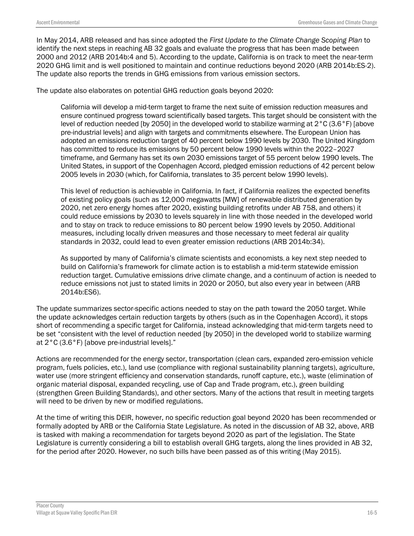In May 2014, ARB released and has since adopted the *First Update to the Climate Change Scoping Plan* to identify the next steps in reaching AB 32 goals and evaluate the progress that has been made between 2000 and 2012 (ARB 2014b:4 and 5). According to the update, California is on track to meet the near-term 2020 GHG limit and is well positioned to maintain and continue reductions beyond 2020 (ARB 2014b:ES-2). The update also reports the trends in GHG emissions from various emission sectors.

The update also elaborates on potential GHG reduction goals beyond 2020:

California will develop a mid-term target to frame the next suite of emission reduction measures and ensure continued progress toward scientifically based targets. This target should be consistent with the level of reduction needed [by 2050] in the developed world to stabilize warming at 2°C (3.6°F) [above pre-industrial levels] and align with targets and commitments elsewhere. The European Union has adopted an emissions reduction target of 40 percent below 1990 levels by 2030. The United Kingdom has committed to reduce its emissions by 50 percent below 1990 levels within the 2022–2027 timeframe, and Germany has set its own 2030 emissions target of 55 percent below 1990 levels. The United States, in support of the Copenhagen Accord, pledged emission reductions of 42 percent below 2005 levels in 2030 (which, for California, translates to 35 percent below 1990 levels).

This level of reduction is achievable in California. In fact, if California realizes the expected benefits of existing policy goals (such as 12,000 megawatts [MW] of renewable distributed generation by 2020, net zero energy homes after 2020, existing building retrofits under AB 758, and others) it could reduce emissions by 2030 to levels squarely in line with those needed in the developed world and to stay on track to reduce emissions to 80 percent below 1990 levels by 2050. Additional measures, including locally driven measures and those necessary to meet federal air quality standards in 2032, could lead to even greater emission reductions (ARB 2014b:34).

As supported by many of California's climate scientists and economists, a key next step needed to build on California's framework for climate action is to establish a mid-term statewide emission reduction target. Cumulative emissions drive climate change, and a continuum of action is needed to reduce emissions not just to stated limits in 2020 or 2050, but also every year in between (ARB 2014b:ES6).

The update summarizes sector-specific actions needed to stay on the path toward the 2050 target. While the update acknowledges certain reduction targets by others (such as in the Copenhagen Accord), it stops short of recommending a specific target for California, instead acknowledging that mid-term targets need to be set "consistent with the level of reduction needed [by 2050] in the developed world to stabilize warming at 2°C (3.6°F) [above pre-industrial levels]."

Actions are recommended for the energy sector, transportation (clean cars, expanded zero-emission vehicle program, fuels policies, etc.), land use (compliance with regional sustainability planning targets), agriculture, water use (more stringent efficiency and conservation standards, runoff capture, etc.), waste (elimination of organic material disposal, expanded recycling, use of Cap and Trade program, etc.), green building (strengthen Green Building Standards), and other sectors. Many of the actions that result in meeting targets will need to be driven by new or modified regulations.

At the time of writing this DEIR, however, no specific reduction goal beyond 2020 has been recommended or formally adopted by ARB or the California State Legislature. As noted in the discussion of AB 32, above, ARB is tasked with making a recommendation for targets beyond 2020 as part of the legislation. The State Legislature is currently considering a bill to establish overall GHG targets, along the lines provided in AB 32, for the period after 2020. However, no such bills have been passed as of this writing (May 2015).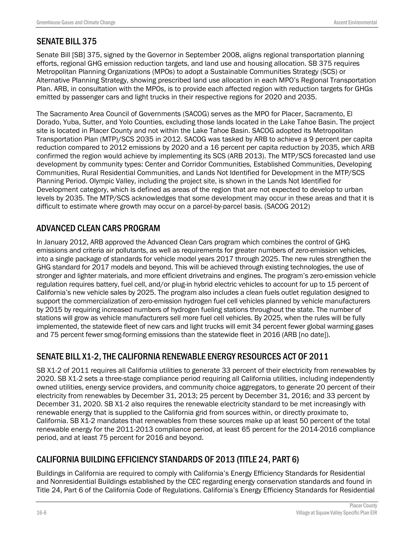## SENATE BILL 375

Senate Bill [SB] 375, signed by the Governor in September 2008, aligns regional transportation planning efforts, regional GHG emission reduction targets, and land use and housing allocation. SB 375 requires Metropolitan Planning Organizations (MPOs) to adopt a Sustainable Communities Strategy (SCS) or Alternative Planning Strategy, showing prescribed land use allocation in each MPO's Regional Transportation Plan. ARB, in consultation with the MPOs, is to provide each affected region with reduction targets for GHGs emitted by passenger cars and light trucks in their respective regions for 2020 and 2035.

The Sacramento Area Council of Governments (SACOG) serves as the MPO for Placer, Sacramento, El Dorado, Yuba, Sutter, and Yolo Counties, excluding those lands located in the Lake Tahoe Basin. The project site is located in Placer County and not within the Lake Tahoe Basin. SACOG adopted its Metropolitan Transportation Plan (MTP)/SCS 2035 in 2012. SACOG was tasked by ARB to achieve a 9 percent per capita reduction compared to 2012 emissions by 2020 and a 16 percent per capita reduction by 2035, which ARB confirmed the region would achieve by implementing its SCS (ARB 2013). The MTP/SCS forecasted land use development by community types: Center and Corridor Communities, Established Communities, Developing Communities, Rural Residential Communities, and Lands Not Identified for Development in the MTP/SCS Planning Period. Olympic Valley, including the project site, is shown in the Lands Not Identified for Development category, which is defined as areas of the region that are not expected to develop to urban levels by 2035. The MTP/SCS acknowledges that some development may occur in these areas and that it is difficult to estimate where growth may occur on a parcel-by-parcel basis. (SACOG 2012)

## ADVANCED CLEAN CARS PROGRAM

In January 2012, ARB approved the Advanced Clean Cars program which combines the control of GHG emissions and criteria air pollutants, as well as requirements for greater numbers of zero-emission vehicles, into a single package of standards for vehicle model years 2017 through 2025. The new rules strengthen the GHG standard for 2017 models and beyond. This will be achieved through existing technologies, the use of stronger and lighter materials, and more efficient drivetrains and engines. The program's zero-emission vehicle regulation requires battery, fuel cell, and/or plug-in hybrid electric vehicles to account for up to 15 percent of California's new vehicle sales by 2025. The program also includes a clean fuels outlet regulation designed to support the commercialization of zero-emission hydrogen fuel cell vehicles planned by vehicle manufacturers by 2015 by requiring increased numbers of hydrogen fueling stations throughout the state. The number of stations will grow as vehicle manufacturers sell more fuel cell vehicles. By 2025, when the rules will be fully implemented, the statewide fleet of new cars and light trucks will emit 34 percent fewer global warming gases and 75 percent fewer smog-forming emissions than the statewide fleet in 2016 (ARB [no date]).

## SENATE BILL X1-2, THE CALIFORNIA RENEWABLE ENERGY RESOURCES ACT OF 2011

SB X1-2 of 2011 requires all California utilities to generate 33 percent of their electricity from renewables by 2020. SB X1-2 sets a three-stage compliance period requiring all California utilities, including independently owned utilities, energy service providers, and community choice aggregators, to generate 20 percent of their electricity from renewables by December 31, 2013; 25 percent by December 31, 2016; and 33 percent by December 31, 2020. SB X1-2 also requires the renewable electricity standard to be met increasingly with renewable energy that is supplied to the California grid from sources within, or directly proximate to, California. SB X1-2 mandates that renewables from these sources make up at least 50 percent of the total renewable energy for the 2011-2013 compliance period, at least 65 percent for the 2014-2016 compliance period, and at least 75 percent for 2016 and beyond.

## CALIFORNIA BUILDING EFFICIENCY STANDARDS OF 2013 (TITLE 24, PART 6)

Buildings in California are required to comply with California's Energy Efficiency Standards for Residential and Nonresidential Buildings established by the CEC regarding energy conservation standards and found in Title 24, Part 6 of the California Code of Regulations. California's Energy Efficiency Standards for Residential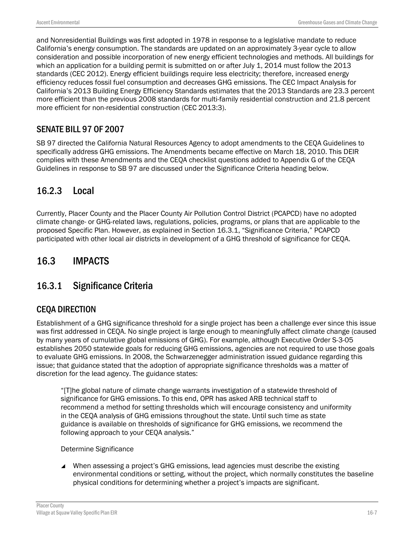and Nonresidential Buildings was first adopted in 1978 in response to a legislative mandate to reduce California's energy consumption. The standards are updated on an approximately 3-year cycle to allow consideration and possible incorporation of new energy efficient technologies and methods. All buildings for which an application for a building permit is submitted on or after July 1, 2014 must follow the 2013 standards (CEC 2012). Energy efficient buildings require less electricity; therefore, increased energy efficiency reduces fossil fuel consumption and decreases GHG emissions. The CEC Impact Analysis for California's 2013 Building Energy Efficiency Standards estimates that the 2013 Standards are 23.3 percent more efficient than the previous 2008 standards for multi-family residential construction and 21.8 percent more efficient for non-residential construction (CEC 2013:3).

# SENATE BILL 97 OF 2007

SB 97 directed the California Natural Resources Agency to adopt amendments to the CEQA Guidelines to specifically address GHG emissions. The Amendments became effective on March 18, 2010. This DEIR complies with these Amendments and the CEQA checklist questions added to Appendix G of the CEQA Guidelines in response to SB 97 are discussed under the Significance Criteria heading below.

# 16.2.3 Local

Currently, Placer County and the Placer County Air Pollution Control District (PCAPCD) have no adopted climate change- or GHG-related laws, regulations, policies, programs, or plans that are applicable to the proposed Specific Plan. However, as explained in Section 16.3.1, "Significance Criteria," PCAPCD participated with other local air districts in development of a GHG threshold of significance for CEQA.

# 16.3 IMPACTS

# 16.3.1 Significance Criteria

# CEQA DIRECTION

Establishment of a GHG significance threshold for a single project has been a challenge ever since this issue was first addressed in CEQA. No single project is large enough to meaningfully affect climate change (caused by many years of cumulative global emissions of GHG). For example, although Executive Order S-3-05 establishes 2050 statewide goals for reducing GHG emissions, agencies are not required to use those goals to evaluate GHG emissions. In 2008, the Schwarzenegger administration issued guidance regarding this issue; that guidance stated that the adoption of appropriate significance thresholds was a matter of discretion for the lead agency. The guidance states:

"[T]he global nature of climate change warrants investigation of a statewide threshold of significance for GHG emissions. To this end, OPR has asked ARB technical staff to recommend a method for setting thresholds which will encourage consistency and uniformity in the CEQA analysis of GHG emissions throughout the state. Until such time as state guidance is available on thresholds of significance for GHG emissions, we recommend the following approach to your CEQA analysis."

### Determine Significance

 When assessing a project's GHG emissions, lead agencies must describe the existing environmental conditions or setting, without the project, which normally constitutes the baseline physical conditions for determining whether a project's impacts are significant.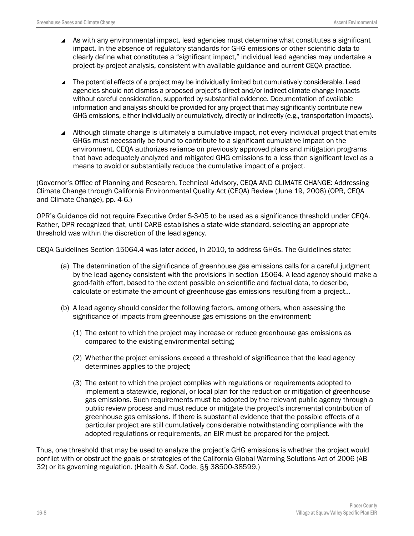- As with any environmental impact, lead agencies must determine what constitutes a significant impact. In the absence of regulatory standards for GHG emissions or other scientific data to clearly define what constitutes a "significant impact," individual lead agencies may undertake a project-by-project analysis, consistent with available guidance and current CEQA practice.
- ▲ The potential effects of a project may be individually limited but cumulatively considerable. Lead agencies should not dismiss a proposed project's direct and/or indirect climate change impacts without careful consideration, supported by substantial evidence. Documentation of available information and analysis should be provided for any project that may significantly contribute new GHG emissions, either individually or cumulatively, directly or indirectly (e.g., transportation impacts).
- Although climate change is ultimately a cumulative impact, not every individual project that emits GHGs must necessarily be found to contribute to a significant cumulative impact on the environment. CEQA authorizes reliance on previously approved plans and mitigation programs that have adequately analyzed and mitigated GHG emissions to a less than significant level as a means to avoid or substantially reduce the cumulative impact of a project.

(Governor's Office of Planning and Research, Technical Advisory, CEQA AND CLIMATE CHANGE: Addressing Climate Change through California Environmental Quality Act (CEQA) Review (June 19, 2008) (OPR, CEQA and Climate Change), pp. 4-6.)

OPR's Guidance did not require Executive Order S-3-05 to be used as a significance threshold under CEQA. Rather, OPR recognized that, until CARB establishes a state-wide standard, selecting an appropriate threshold was within the discretion of the lead agency.

CEQA Guidelines Section 15064.4 was later added, in 2010, to address GHGs. The Guidelines state:

- (a) The determination of the significance of greenhouse gas emissions calls for a careful judgment by the lead agency consistent with the provisions in section 15064. A lead agency should make a good-faith effort, based to the extent possible on scientific and factual data, to describe, calculate or estimate the amount of greenhouse gas emissions resulting from a project…
- (b) A lead agency should consider the following factors, among others, when assessing the significance of impacts from greenhouse gas emissions on the environment:
	- (1) The extent to which the project may increase or reduce greenhouse gas emissions as compared to the existing environmental setting;
	- (2) Whether the project emissions exceed a threshold of significance that the lead agency determines applies to the project;
	- (3) The extent to which the project complies with regulations or requirements adopted to implement a statewide, regional, or local plan for the reduction or mitigation of greenhouse gas emissions. Such requirements must be adopted by the relevant public agency through a public review process and must reduce or mitigate the project's incremental contribution of greenhouse gas emissions. If there is substantial evidence that the possible effects of a particular project are still cumulatively considerable notwithstanding compliance with the adopted regulations or requirements, an EIR must be prepared for the project.

Thus, one threshold that may be used to analyze the project's GHG emissions is whether the project would conflict with or obstruct the goals or strategies of the California Global Warming Solutions Act of 2006 (AB 32) or its governing regulation. (Health & Saf. Code, §§ 38500-38599.)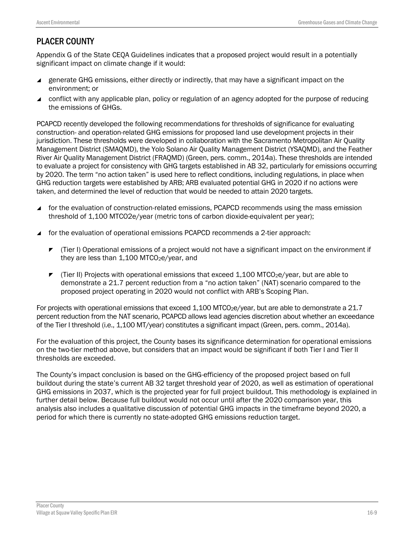# PLACER COUNTY

Appendix G of the State CEQA Guidelines indicates that a proposed project would result in a potentially significant impact on climate change if it would:

- **EXECTED** enerate GHG emissions, either directly or indirectly, that may have a significant impact on the environment; or
- ▲ conflict with any applicable plan, policy or regulation of an agency adopted for the purpose of reducing the emissions of GHGs.

PCAPCD recently developed the following recommendations for thresholds of significance for evaluating construction- and operation-related GHG emissions for proposed land use development projects in their jurisdiction. These thresholds were developed in collaboration with the Sacramento Metropolitan Air Quality Management District (SMAQMD), the Yolo Solano Air Quality Management District (YSAQMD), and the Feather River Air Quality Management District (FRAQMD) (Green, pers. comm., 2014a). These thresholds are intended to evaluate a project for consistency with GHG targets established in AB 32, particularly for emissions occurring by 2020. The term "no action taken" is used here to reflect conditions, including regulations, in place when GHG reduction targets were established by ARB; ARB evaluated potential GHG in 2020 if no actions were taken, and determined the level of reduction that would be needed to attain 2020 targets.

- for the evaluation of construction-related emissions, PCAPCD recommends using the mass emission threshold of 1,100 MTCO2e/year (metric tons of carbon dioxide-equivalent per year);
- for the evaluation of operational emissions PCAPCD recommends a 2-tier approach:
	- $\blacktriangleright$  (Tier I) Operational emissions of a project would not have a significant impact on the environment if they are less than  $1.100$  MTCO<sub>2</sub>e/year, and
	- $\blacktriangleright$  (Tier II) Projects with operational emissions that exceed 1,100 MTCO<sub>2</sub>e/year, but are able to demonstrate a 21.7 percent reduction from a "no action taken" (NAT) scenario compared to the proposed project operating in 2020 would not conflict with ARB's Scoping Plan.

For projects with operational emissions that exceed 1,100 MTCO<sub>2</sub>e/year, but are able to demonstrate a 21.7 percent reduction from the NAT scenario, PCAPCD allows lead agencies discretion about whether an exceedance of the Tier I threshold (i.e., 1,100 MT/year) constitutes a significant impact (Green, pers. comm., 2014a).

For the evaluation of this project, the County bases its significance determination for operational emissions on the two-tier method above, but considers that an impact would be significant if both Tier I and Tier II thresholds are exceeded.

The County's impact conclusion is based on the GHG-efficiency of the proposed project based on full buildout during the state's current AB 32 target threshold year of 2020, as well as estimation of operational GHG emissions in 2037, which is the projected year for full project buildout. This methodology is explained in further detail below. Because full buildout would not occur until after the 2020 comparison year, this analysis also includes a qualitative discussion of potential GHG impacts in the timeframe beyond 2020, a period for which there is currently no state-adopted GHG emissions reduction target.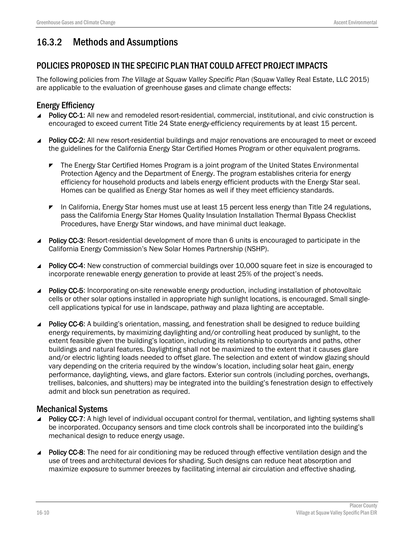# 16.3.2 Methods and Assumptions

## POLICIES PROPOSED IN THE SPECIFIC PLAN THAT COULD AFFECT PROJECT IMPACTS

The following policies from *The Village at Squaw Valley Specific Plan* (Squaw Valley Real Estate, LLC 2015) are applicable to the evaluation of greenhouse gases and climate change effects:

### Energy Efficiency

- Policy CC-1: All new and remodeled resort-residential, commercial, institutional, and civic construction is encouraged to exceed current Title 24 State energy-efficiency requirements by at least 15 percent.
- Policy CC-2: All new resort-residential buildings and major renovations are encouraged to meet or exceed the guidelines for the California Energy Star Certified Homes Program or other equivalent programs.
	- **The Energy Star Certified Homes Program is a joint program of the United States Environmental** Protection Agency and the Department of Energy. The program establishes criteria for energy efficiency for household products and labels energy efficient products with the Energy Star seal. Homes can be qualified as Energy Star homes as well if they meet efficiency standards.
	- **F** In California, Energy Star homes must use at least 15 percent less energy than Title 24 regulations. pass the California Energy Star Homes Quality Insulation Installation Thermal Bypass Checklist Procedures, have Energy Star windows, and have minimal duct leakage.
- **Policy CC-3:** Resort-residential development of more than 6 units is encouraged to participate in the California Energy Commission's New Solar Homes Partnership (NSHP).
- Policy CC-4: New construction of commercial buildings over 10,000 square feet in size is encouraged to incorporate renewable energy generation to provide at least 25% of the project's needs.
- ▲ Policy CC-5: Incorporating on-site renewable energy production, including installation of photovoltaic cells or other solar options installed in appropriate high sunlight locations, is encouraged. Small singlecell applications typical for use in landscape, pathway and plaza lighting are acceptable.
- ▲ Policy CC-6: A building's orientation, massing, and fenestration shall be designed to reduce building energy requirements, by maximizing daylighting and/or controlling heat produced by sunlight, to the extent feasible given the building's location, including its relationship to courtyards and paths, other buildings and natural features. Daylighting shall not be maximized to the extent that it causes glare and/or electric lighting loads needed to offset glare. The selection and extent of window glazing should vary depending on the criteria required by the window's location, including solar heat gain, energy performance, daylighting, views, and glare factors. Exterior sun controls (including porches, overhangs, trellises, balconies, and shutters) may be integrated into the building's fenestration design to effectively admit and block sun penetration as required.

### Mechanical Systems

- Policy CC-7: A high level of individual occupant control for thermal, ventilation, and lighting systems shall be incorporated. Occupancy sensors and time clock controls shall be incorporated into the building's mechanical design to reduce energy usage.
- **Policy CC-8:** The need for air conditioning may be reduced through effective ventilation design and the use of trees and architectural devices for shading. Such designs can reduce heat absorption and maximize exposure to summer breezes by facilitating internal air circulation and effective shading.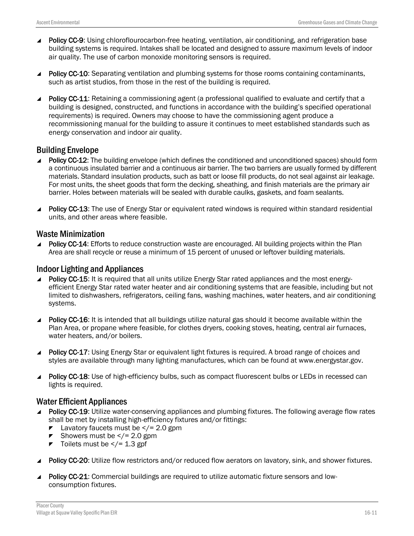- Policy CC-9: Using chloroflourocarbon-free heating, ventilation, air conditioning, and refrigeration base building systems is required. Intakes shall be located and designed to assure maximum levels of indoor air quality. The use of carbon monoxide monitoring sensors is required.
- Policy CC-10: Separating ventilation and plumbing systems for those rooms containing contaminants, such as artist studios, from those in the rest of the building is required.
- Policy CC-11: Retaining a commissioning agent (a professional qualified to evaluate and certify that a building is designed, constructed, and functions in accordance with the building's specified operational requirements) is required. Owners may choose to have the commissioning agent produce a recommissioning manual for the building to assure it continues to meet established standards such as energy conservation and indoor air quality.

### Building Envelope

- ▲ Policy CC-12: The building envelope (which defines the conditioned and unconditioned spaces) should form a continuous insulated barrier and a continuous air barrier. The two barriers are usually formed by different materials. Standard insulation products, such as batt or loose fill products, do not seal against air leakage. For most units, the sheet goods that form the decking, sheathing, and finish materials are the primary air barrier. Holes between materials will be sealed with durable caulks, gaskets, and foam sealants.
- Policy CC-13: The use of Energy Star or equivalent rated windows is required within standard residential units, and other areas where feasible.

#### Waste Minimization

Policy CC-14: Efforts to reduce construction waste are encouraged. All building projects within the Plan Area are shall recycle or reuse a minimum of 15 percent of unused or leftover building materials.

#### Indoor Lighting and Appliances

- Policy CC-15: It is required that all units utilize Energy Star rated appliances and the most energyefficient Energy Star rated water heater and air conditioning systems that are feasible, including but not limited to dishwashers, refrigerators, ceiling fans, washing machines, water heaters, and air conditioning systems.
- Policy CC-16: It is intended that all buildings utilize natural gas should it become available within the Plan Area, or propane where feasible, for clothes dryers, cooking stoves, heating, central air furnaces, water heaters, and/or boilers.
- Policy CC-17: Using Energy Star or equivalent light fixtures is required. A broad range of choices and styles are available through many lighting manufactures, which can be found at www.energystar.gov.
- **Policy CC-18:** Use of high-efficiency bulbs, such as compact fluorescent bulbs or LEDs in recessed can lights is required.

### Water Efficient Appliances

- Policy CC-19: Utilize water-conserving appliances and plumbing fixtures. The following average flow rates shall be met by installing high-efficiency fixtures and/or fittings:
	- E Lavatory faucets must be  $\langle$  = 2.0 gpm
	- Showers must be  $\lt/$  = 2.0 gpm
	- $\blacktriangleright$  Toilets must be  $\lt/= 1.3$  gpf
- Policy CC-20: Utilize flow restrictors and/or reduced flow aerators on lavatory, sink, and shower fixtures.
- Policy CC-21: Commercial buildings are required to utilize automatic fixture sensors and lowconsumption fixtures.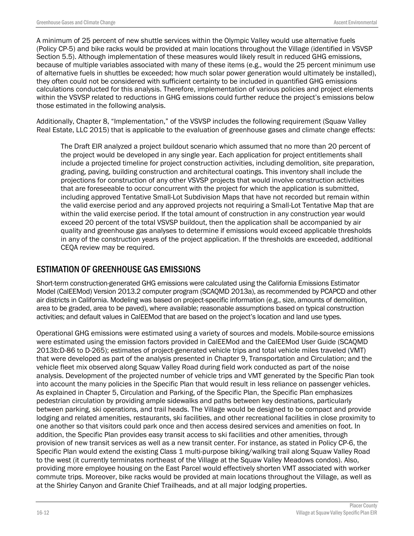A minimum of 25 percent of new shuttle services within the Olympic Valley would use alternative fuels (Policy CP-5) and bike racks would be provided at main locations throughout the Village (identified in VSVSP Section 5.5). Although implementation of these measures would likely result in reduced GHG emissions, because of multiple variables associated with many of these items (e.g., would the 25 percent minimum use of alternative fuels in shuttles be exceeded; how much solar power generation would ultimately be installed), they often could not be considered with sufficient certainty to be included in quantified GHG emissions calculations conducted for this analysis. Therefore, implementation of various policies and project elements within the VSVSP related to reductions in GHG emissions could further reduce the project's emissions below those estimated in the following analysis.

Additionally, Chapter 8, "Implementation," of the VSVSP includes the following requirement (Squaw Valley Real Estate, LLC 2015) that is applicable to the evaluation of greenhouse gases and climate change effects:

The Draft EIR analyzed a project buildout scenario which assumed that no more than 20 percent of the project would be developed in any single year. Each application for project entitlements shall include a projected timeline for project construction activities, including demolition, site preparation, grading, paving, building construction and architectural coatings. This inventory shall include the projections for construction of any other VSVSP projects that would involve construction activities that are foreseeable to occur concurrent with the project for which the application is submitted, including approved Tentative Small-Lot Subdivision Maps that have not recorded but remain within the valid exercise period and any approved projects not requiring a Small-Lot Tentative Map that are within the valid exercise period. If the total amount of construction in any construction year would exceed 20 percent of the total VSVSP buildout, then the application shall be accompanied by air quality and greenhouse gas analyses to determine if emissions would exceed applicable thresholds in any of the construction years of the project application. If the thresholds are exceeded, additional CEQA review may be required.

### ESTIMATION OF GREENHOUSE GAS EMISSIONS

Short-term construction-generated GHG emissions were calculated using the California Emissions Estimator Model (CalEEMod) Version 2013.2 computer program (SCAQMD 2013a), as recommended by PCAPCD and other air districts in California. Modeling was based on project-specific information (e.g., size, amounts of demolition, area to be graded, area to be paved), where available; reasonable assumptions based on typical construction activities; and default values in CalEEMod that are based on the project's location and land use types.

Operational GHG emissions were estimated using a variety of sources and models. Mobile-source emissions were estimated using the emission factors provided in CalEEMod and the CalEEMod User Guide (SCAQMD 2013b:D-86 to D-265); estimates of project-generated vehicle trips and total vehicle miles traveled (VMT) that were developed as part of the analysis presented in Chapter 9, Transportation and Circulation; and the vehicle fleet mix observed along Squaw Valley Road during field work conducted as part of the noise analysis. Development of the projected number of vehicle trips and VMT generated by the Specific Plan took into account the many policies in the Specific Plan that would result in less reliance on passenger vehicles. As explained in Chapter 5, Circulation and Parking, of the Specific Plan, the Specific Plan emphasizes pedestrian circulation by providing ample sidewalks and paths between key destinations, particularly between parking, ski operations, and trail heads. The Village would be designed to be compact and provide lodging and related amenities, restaurants, ski facilities, and other recreational facilities in close proximity to one another so that visitors could park once and then access desired services and amenities on foot. In addition, the Specific Plan provides easy transit access to ski facilities and other amenities, through provision of new transit services as well as a new transit center. For instance, as stated in Policy CP-6, the Specific Plan would extend the existing Class 1 multi-purpose biking/walking trail along Squaw Valley Road to the west (it currently terminates northeast of the Village at the Squaw Valley Meadows condos). Also, providing more employee housing on the East Parcel would effectively shorten VMT associated with worker commute trips. Moreover, bike racks would be provided at main locations throughout the Village, as well as at the Shirley Canyon and Granite Chief Trailheads, and at all major lodging properties.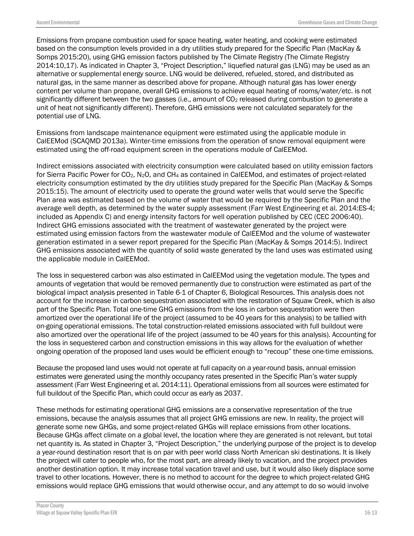Emissions from propane combustion used for space heating, water heating, and cooking were estimated based on the consumption levels provided in a dry utilities study prepared for the Specific Plan (MacKay & Somps 2015:20), using GHG emission factors published by The Climate Registry (The Climate Registry 2014:10,17). As indicated in Chapter 3, "Project Description," liquefied natural gas (LNG) may be used as an alternative or supplemental energy source. LNG would be delivered, refueled, stored, and distributed as natural gas, in the same manner as described above for propane. Although natural gas has lower energy content per volume than propane, overall GHG emissions to achieve equal heating of rooms/water/etc. is not significantly different between the two gasses (i.e., amount of CO<sub>2</sub> released during combustion to generate a unit of heat not significantly different). Therefore, GHG emissions were not calculated separately for the potential use of LNG.

Emissions from landscape maintenance equipment were estimated using the applicable module in CalEEMod (SCAQMD 2013a). Winter-time emissions from the operation of snow removal equipment were estimated using the off-road equipment screen in the operations module of CalEEMod.

Indirect emissions associated with electricity consumption were calculated based on utility emission factors for Sierra Pacific Power for CO2, N2O, and CH4 as contained in CalEEMod, and estimates of project-related electricity consumption estimated by the dry utilities study prepared for the Specific Plan (MacKay & Somps 2015:15). The amount of electricity used to operate the ground water wells that would serve the Specific Plan area was estimated based on the volume of water that would be required by the Specific Plan and the average well depth, as determined by the water supply assessment (Farr West Engineering et al. 2014:ES-4; included as Appendix C) and energy intensity factors for well operation published by CEC (CEC 2006:40). Indirect GHG emissions associated with the treatment of wastewater generated by the project were estimated using emission factors from the wastewater module of CalEEMod and the volume of wastewater generation estimated in a sewer report prepared for the Specific Plan (MacKay & Somps 2014:5). Indirect GHG emissions associated with the quantity of solid waste generated by the land uses was estimated using the applicable module in CalEEMod.

The loss in sequestered carbon was also estimated in CalEEMod using the vegetation module. The types and amounts of vegetation that would be removed permanently due to construction were estimated as part of the biological impact analysis presented in Table 6-1 of Chapter 6, Biological Resources. This analysis does not account for the increase in carbon sequestration associated with the restoration of Squaw Creek, which is also part of the Specific Plan. Total one-time GHG emissions from the loss in carbon sequestration were then amortized over the operational life of the project (assumed to be 40 years for this analysis) to be tallied with on-going operational emissions. The total construction-related emissions associated with full buildout were also amortized over the operational life of the project (assumed to be 40 years for this analysis). Accounting for the loss in sequestered carbon and construction emissions in this way allows for the evaluation of whether ongoing operation of the proposed land uses would be efficient enough to "recoup" these one-time emissions.

Because the proposed land uses would not operate at full capacity on a year-round basis, annual emission estimates were generated using the monthly occupancy rates presented in the Specific Plan's water supply assessment (Farr West Engineering et al. 2014:11). Operational emissions from all sources were estimated for full buildout of the Specific Plan, which could occur as early as 2037.

These methods for estimating operational GHG emissions are a conservative representation of the true emissions, because the analysis assumes that all project GHG emissions are new. In reality, the project will generate some new GHGs, and some project-related GHGs will replace emissions from other locations. Because GHGs affect climate on a global level, the location where they are generated is not relevant, but total net quantity is. As stated in Chapter 3, "Project Description," the underlying purpose of the project is to develop a year-round destination resort that is on par with peer world class North American ski destinations. It is likely the project will cater to people who, for the most part, are already likely to vacation, and the project provides another destination option. It may increase total vacation travel and use, but it would also likely displace some travel to other locations. However, there is no method to account for the degree to which project-related GHG emissions would replace GHG emissions that would otherwise occur, and any attempt to do so would involve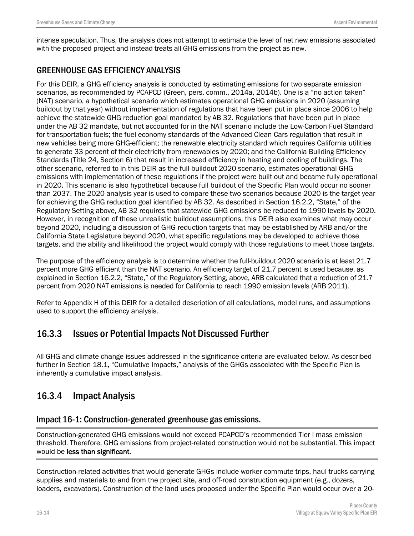intense speculation. Thus, the analysis does not attempt to estimate the level of net new emissions associated with the proposed project and instead treats all GHG emissions from the project as new.

## GREENHOUSE GAS EFFICIENCY ANALYSIS

For this DEIR, a GHG efficiency analysis is conducted by estimating emissions for two separate emission scenarios, as recommended by PCAPCD (Green, pers. comm., 2014a, 2014b). One is a "no action taken" (NAT) scenario, a hypothetical scenario which estimates operational GHG emissions in 2020 (assuming buildout by that year) without implementation of regulations that have been put in place since 2006 to help achieve the statewide GHG reduction goal mandated by AB 32. Regulations that have been put in place under the AB 32 mandate, but not accounted for in the NAT scenario include the Low-Carbon Fuel Standard for transportation fuels; the fuel economy standards of the Advanced Clean Cars regulation that result in new vehicles being more GHG-efficient; the renewable electricity standard which requires California utilities to generate 33 percent of their electricity from renewables by 2020; and the California Building Efficiency Standards (Title 24, Section 6) that result in increased efficiency in heating and cooling of buildings. The other scenario, referred to in this DEIR as the full-buildout 2020 scenario, estimates operational GHG emissions with implementation of these regulations if the project were built out and became fully operational in 2020. This scenario is also hypothetical because full buildout of the Specific Plan would occur no sooner than 2037. The 2020 analysis year is used to compare these two scenarios because 2020 is the target year for achieving the GHG reduction goal identified by AB 32. As described in Section 16.2.2, "State," of the Regulatory Setting above, AB 32 requires that statewide GHG emissions be reduced to 1990 levels by 2020. However, in recognition of these unrealistic buildout assumptions, this DEIR also examines what may occur beyond 2020, including a discussion of GHG reduction targets that may be established by ARB and/or the California State Legislature beyond 2020, what specific regulations may be developed to achieve those targets, and the ability and likelihood the project would comply with those regulations to meet those targets.

The purpose of the efficiency analysis is to determine whether the full-buildout 2020 scenario is at least 21.7 percent more GHG efficient than the NAT scenario. An efficiency target of 21.7 percent is used because, as explained in Section 16.2.2, "State," of the Regulatory Setting, above, ARB calculated that a reduction of 21.7 percent from 2020 NAT emissions is needed for California to reach 1990 emission levels (ARB 2011).

Refer to Appendix H of this DEIR for a detailed description of all calculations, model runs, and assumptions used to support the efficiency analysis.

# 16.3.3 Issues or Potential Impacts Not Discussed Further

All GHG and climate change issues addressed in the significance criteria are evaluated below. As described further in Section 18.1, "Cumulative Impacts," analysis of the GHGs associated with the Specific Plan is inherently a cumulative impact analysis.

# 16.3.4 Impact Analysis

### Impact 16-1: Construction-generated greenhouse gas emissions.

Construction-generated GHG emissions would not exceed PCAPCD's recommended Tier I mass emission threshold. Therefore, GHG emissions from project-related construction would not be substantial. This impact would be less than significant.

Construction-related activities that would generate GHGs include worker commute trips, haul trucks carrying supplies and materials to and from the project site, and off-road construction equipment (e.g., dozers, loaders, excavators). Construction of the land uses proposed under the Specific Plan would occur over a 20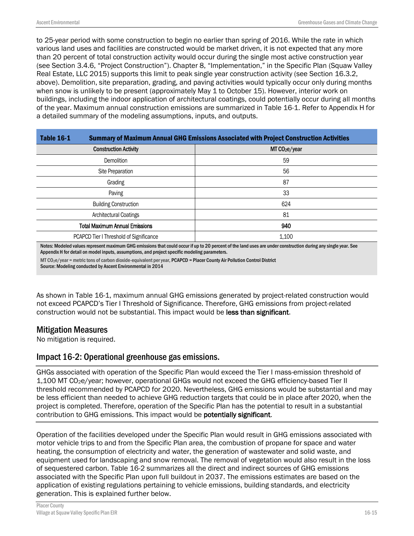to 25-year period with some construction to begin no earlier than spring of 2016. While the rate in which various land uses and facilities are constructed would be market driven, it is not expected that any more than 20 percent of total construction activity would occur during the single most active construction year (see Section 3.4.6, "Project Construction"). Chapter 8, "Implementation," in the Specific Plan (Squaw Valley Real Estate, LLC 2015) supports this limit to peak single year construction activity (see Section 16.3.2, above). Demolition, site preparation, grading, and paving activities would typically occur only during months when snow is unlikely to be present (approximately May 1 to October 15). However, interior work on buildings, including the indoor application of architectural coatings, could potentially occur during all months of the year. Maximum annual construction emissions are summarized in Table 16-1. Refer to Appendix H for a detailed summary of the modeling assumptions, inputs, and outputs.

| <b>Table 16-1</b>                       | <b>Summary of Maximum Annual GHG Emissions Associated with Project Construction Activities</b> |  |  |
|-----------------------------------------|------------------------------------------------------------------------------------------------|--|--|
| <b>Construction Activity</b>            | MTCO <sub>2</sub> e/year                                                                       |  |  |
| <b>Demolition</b>                       | 59                                                                                             |  |  |
| Site Preparation                        | 56                                                                                             |  |  |
| Grading                                 | 87                                                                                             |  |  |
| Paving                                  | 33                                                                                             |  |  |
| <b>Building Construction</b>            | 624                                                                                            |  |  |
| Architectural Coatings<br>81            |                                                                                                |  |  |
| <b>Total Maximum Annual Emissions</b>   | 940                                                                                            |  |  |
| PCAPCD Tier I Threshold of Significance | 1.100                                                                                          |  |  |

Notes: Modeled values represent maximum GHG emissions that could occur if up to 20 percent of the land uses are under construction during any single year. See Appendix H for detail on model inputs, assumptions, and project specific modeling parameters.

MT CO2e/year = metric tons of carbon dioxide-equivalent per year, PCAPCD = Placer County Air Pollution Control District Source: Modeling conducted by Ascent Environmental in 2014

As shown in Table 16-1, maximum annual GHG emissions generated by project-related construction would not exceed PCAPCD's Tier I Threshold of Significance. Therefore, GHG emissions from project-related construction would not be substantial. This impact would be less than significant.

### Mitigation Measures

No mitigation is required.

### Impact 16-2: Operational greenhouse gas emissions.

GHGs associated with operation of the Specific Plan would exceed the Tier I mass-emission threshold of 1,100 MT CO2e/year; however, operational GHGs would not exceed the GHG efficiency-based Tier II threshold recommended by PCAPCD for 2020. Nevertheless, GHG emissions would be substantial and may be less efficient than needed to achieve GHG reduction targets that could be in place after 2020, when the project is completed. Therefore, operation of the Specific Plan has the potential to result in a substantial contribution to GHG emissions. This impact would be potentially significant.

Operation of the facilities developed under the Specific Plan would result in GHG emissions associated with motor vehicle trips to and from the Specific Plan area, the combustion of propane for space and water heating, the consumption of electricity and water, the generation of wastewater and solid waste, and equipment used for landscaping and snow removal. The removal of vegetation would also result in the loss of sequestered carbon. Table 16-2 summarizes all the direct and indirect sources of GHG emissions associated with the Specific Plan upon full buildout in 2037. The emissions estimates are based on the application of existing regulations pertaining to vehicle emissions, building standards, and electricity generation. This is explained further below.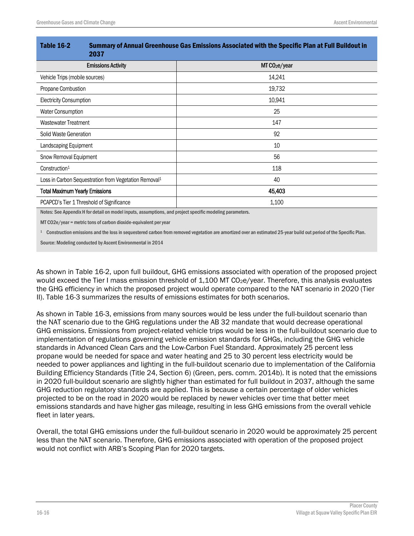| <b>Table 16-2</b>                     | Summary of Annual Greenhouse Gas Emissions Associated with the Specific Plan at Full Buildout in<br>2037 |                           |  |
|---------------------------------------|----------------------------------------------------------------------------------------------------------|---------------------------|--|
|                                       | <b>Emissions Activity</b>                                                                                | MT CO <sub>2</sub> e/year |  |
| Vehicle Trips (mobile sources)        |                                                                                                          | 14,241                    |  |
| Propane Combustion                    |                                                                                                          | 19,732                    |  |
| <b>Electricity Consumption</b>        |                                                                                                          | 10,941                    |  |
| Water Consumption                     |                                                                                                          | 25                        |  |
| Wastewater Treatment                  |                                                                                                          | 147                       |  |
| Solid Waste Generation                |                                                                                                          | 92                        |  |
| Landscaping Equipment                 |                                                                                                          | 10                        |  |
| Snow Removal Equipment                |                                                                                                          | 56                        |  |
| Construction <sup>1</sup>             |                                                                                                          | 118                       |  |
|                                       | Loss in Carbon Sequestration from Vegetation Removal <sup>1</sup>                                        | 40                        |  |
| <b>Total Maximum Yearly Emissions</b> |                                                                                                          | 45,403                    |  |
|                                       | PCAPCD's Tier 1 Threshold of Significance                                                                | 1,100                     |  |

Notes: See Appendix H for detail on model inputs, assumptions, and project specific modeling parameters.

MT CO2e/year = metric tons of carbon dioxide-equivalent per year

<sup>1</sup> Construction emissions and the loss in sequestered carbon from removed vegetation are amortized over an estimated 25-year build out period of the Specific Plan.

Source: Modeling conducted by Ascent Environmental in 2014

As shown in Table 16-2, upon full buildout, GHG emissions associated with operation of the proposed project would exceed the Tier I mass emission threshold of 1,100 MT CO<sub>2</sub>e/year. Therefore, this analysis evaluates the GHG efficiency in which the proposed project would operate compared to the NAT scenario in 2020 (Tier II). Table 16-3 summarizes the results of emissions estimates for both scenarios.

As shown in Table 16-3, emissions from many sources would be less under the full-buildout scenario than the NAT scenario due to the GHG regulations under the AB 32 mandate that would decrease operational GHG emissions. Emissions from project-related vehicle trips would be less in the full-buildout scenario due to implementation of regulations governing vehicle emission standards for GHGs, including the GHG vehicle standards in Advanced Clean Cars and the Low-Carbon Fuel Standard. Approximately 25 percent less propane would be needed for space and water heating and 25 to 30 percent less electricity would be needed to power appliances and lighting in the full-buildout scenario due to implementation of the California Building Efficiency Standards (Title 24, Section 6) (Green, pers. comm. 2014b). It is noted that the emissions in 2020 full-buildout scenario are slightly higher than estimated for full buildout in 2037, although the same GHG reduction regulatory standards are applied. This is because a certain percentage of older vehicles projected to be on the road in 2020 would be replaced by newer vehicles over time that better meet emissions standards and have higher gas mileage, resulting in less GHG emissions from the overall vehicle fleet in later years.

Overall, the total GHG emissions under the full-buildout scenario in 2020 would be approximately 25 percent less than the NAT scenario. Therefore, GHG emissions associated with operation of the proposed project would not conflict with ARB's Scoping Plan for 2020 targets.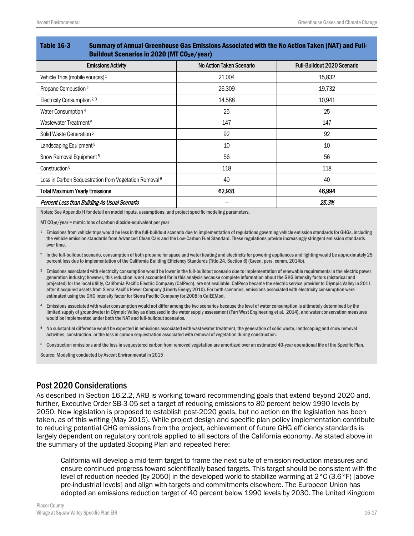| יום ו שוום ן וברון ווטווסר טוס וויו ווטוסים של הוויו שטעטרים וויסטונוים שם שטעטוויטס וויו שווויו ויס וויוויו ש<br><b>Buildout Scenarios in 2020 (MT CO2e/year)</b> |                          |                                    |  |  |
|--------------------------------------------------------------------------------------------------------------------------------------------------------------------|--------------------------|------------------------------------|--|--|
| <b>Emissions Activity</b>                                                                                                                                          | No Action Taken Scenario | <b>Full-Buildout 2020 Scenario</b> |  |  |
| Vehicle Trips (mobile sources) <sup>1</sup>                                                                                                                        | 21,004                   | 15,832                             |  |  |
| Propane Combustion <sup>2</sup>                                                                                                                                    | 26,309                   | 19,732                             |  |  |
| Electricity Consumption <sup>2, 3</sup>                                                                                                                            | 14,588                   | 10,941                             |  |  |
| Water Consumption <sup>4</sup>                                                                                                                                     | 25                       | 25                                 |  |  |
| Wastewater Treatment <sup>5</sup>                                                                                                                                  | 147                      | 147                                |  |  |
| Solid Waste Generation <sup>5</sup>                                                                                                                                | 92                       | 92                                 |  |  |
| Landscaping Equipment <sup>5</sup>                                                                                                                                 | 10                       | 10                                 |  |  |
| Snow Removal Equipment <sup>5</sup>                                                                                                                                | 56                       | 56                                 |  |  |
| Construction <sup>6</sup>                                                                                                                                          | 118                      | 118                                |  |  |
| Loss in Carbon Sequestration from Vegetation Removal <sup>6</sup>                                                                                                  | 40                       | 40                                 |  |  |
| <b>Total Maximum Yearly Emissions</b>                                                                                                                              | 62,931                   | 46,994                             |  |  |
| Percent Less than Building-As-Usual Scenario                                                                                                                       |                          | 25.3%                              |  |  |

Table 16-3 Summary of Annual Greenhouse Gas Emissions Associated with the No Action Taken (NAT) and Full-

Notes: See Appendix H for detail on model inputs, assumptions, and project specific modeling parameters.

MT CO2e/year = metric tons of carbon dioxide-equivalent per year

- <sup>1</sup> Emissions from vehicle trips would be less in the full-buildout scenario due to implementation of regulations governing vehicle emission standards for GHGs, including the vehicle emission standards from Advanced Clean Cars and the Low-Carbon Fuel Standard. These regulations provide increasingly stringent emission standards over time.
- <sup>2</sup> In the full-buildout scenario, consumption of both propane for space and water heating and electricity for powering appliances and lighting would be approximately 25 percent less due to implementation of the California Building Efficiency Standards (Title 24, Section 6) (Green, pers. comm. 2014b).
- <sup>3</sup> Emissions associated with electricity consumption would be lower in the full-buildout scenario due to implementation of renewable requirements in the electric power generation industry; however, this reduction is not accounted for in this analysis because complete information about the GHG intensity factors (historical and projected) for the local utility, California Pacific Electric Company (CalPeco), are not available. CalPeco became the electric service provider to Olympic Valley in 2011 after it acquired assets from Sierra Pacific Power Company(Liberty Energy 2010). For both scenarios, emissions associated with electricity consumption were estimated using the GHG intensity factor for Sierra Pacific Company for 2008 in CalEEMod.
- <sup>4</sup> Emissions associated with water consumption would not differ among the two scenarios because the level of water consumption is ultimately determined by the limited supply of groundwater in Olympic Valley as discussed in the water supply assessment (Farr West Engineering et al. 2014), and water conservation measures would be implemented under both the NAT and full-buildout scenarios.
- No substantial difference would be expected in emissions associated with wastewater treatment, the generation of solid waste, landscaping and snow removal activities, construction, or the loss in carbon sequestration associated with removal of vegetation during construction.
- <sup>6</sup> Construction emissions and the loss in sequestered carbon from removed vegetation are amortized over an estimated 40-year operational life of the Specific Plan.

Source: Modeling conducted by Ascent Environmental in 2015

#### Post 2020 Considerations

As described in Section 16.2.2, ARB is working toward recommending goals that extend beyond 2020 and, further, Executive Order SB-3-05 set a target of reducing emissions to 80 percent below 1990 levels by 2050. New legislation is proposed to establish post-2020 goals, but no action on the legislation has been taken, as of this writing (May 2015). While project design and specific plan policy implementation contribute to reducing potential GHG emissions from the project, achievement of future GHG efficiency standards is largely dependent on regulatory controls applied to all sectors of the California economy. As stated above in the summary of the updated Scoping Plan and repeated here:

California will develop a mid-term target to frame the next suite of emission reduction measures and ensure continued progress toward scientifically based targets. This target should be consistent with the level of reduction needed [by 2050] in the developed world to stabilize warming at 2°C (3.6°F) [above pre-industrial levels] and align with targets and commitments elsewhere. The European Union has adopted an emissions reduction target of 40 percent below 1990 levels by 2030. The United Kingdom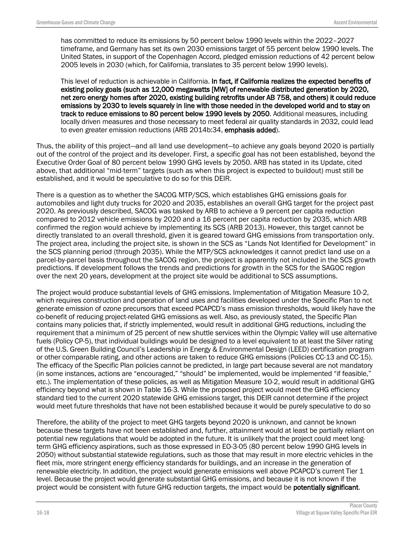has committed to reduce its emissions by 50 percent below 1990 levels within the 2022–2027 timeframe, and Germany has set its own 2030 emissions target of 55 percent below 1990 levels. The United States, in support of the Copenhagen Accord, pledged emission reductions of 42 percent below 2005 levels in 2030 (which, for California, translates to 35 percent below 1990 levels).

This level of reduction is achievable in California. In fact, if California realizes the expected benefits of existing policy goals (such as 12,000 megawatts [MW] of renewable distributed generation by 2020, net zero energy homes after 2020, existing building retrofits under AB 758, and others) it could reduce emissions by 2030 to levels squarely in line with those needed in the developed world and to stay on track to reduce emissions to 80 percent below 1990 levels by 2050. Additional measures, including locally driven measures and those necessary to meet federal air quality standards in 2032, could lead to even greater emission reductions (ARB 2014b:34, emphasis added).

Thus, the ability of this project—and all land use development—to achieve any goals beyond 2020 is partially out of the control of the project and its developer. First, a specific goal has not been established, beyond the Executive Order Goal of 80 percent below 1990 GHG levels by 2050. ARB has stated in its Update, cited above, that additional "mid-term" targets (such as when this project is expected to buildout) must still be established, and it would be speculative to do so for this DEIR.

There is a question as to whether the SACOG MTP/SCS, which establishes GHG emissions goals for automobiles and light duty trucks for 2020 and 2035, establishes an overall GHG target for the project past 2020. As previously described, SACOG was tasked by ARB to achieve a 9 percent per capita reduction compared to 2012 vehicle emissions by 2020 and a 16 percent per capita reduction by 2035, which ARB confirmed the region would achieve by implementing its SCS (ARB 2013). However, this target cannot be directly translated to an overall threshold, given it is geared toward GHG emissions from transportation only. The project area, including the project site, is shown in the SCS as "Lands Not Identified for Development" in the SCS planning period (through 2035). While the MTP/SCS acknowledges it cannot predict land use on a parcel-by-parcel basis throughout the SACOG region, the project is apparently not included in the SCS growth predictions. If development follows the trends and predictions for growth in the SCS for the SAGOC region over the next 20 years, development at the project site would be additional to SCS assumptions.

The project would produce substantial levels of GHG emissions. Implementation of Mitigation Measure 10-2, which requires construction and operation of land uses and facilities developed under the Specific Plan to not generate emission of ozone precursors that exceed PCAPCD's mass emission thresholds, would likely have the co-benefit of reducing project-related GHG emissions as well. Also, as previously stated, the Specific Plan contains many policies that, if strictly implemented, would result in additional GHG reductions, including the requirement that a minimum of 25 percent of new shuttle services within the Olympic Valley will use alternative fuels (Policy CP-5), that individual buildings would be designed to a level equivalent to at least the Silver rating of the U.S. Green Building Council's Leadership in Energy & Environmental Design (LEED) certification program or other comparable rating, and other actions are taken to reduce GHG emissions (Policies CC-13 and CC-15). The efficacy of the Specific Plan policies cannot be predicted, in large part because several are not mandatory (in some instances, actions are "encouraged," "should" be implemented, would be implemented "if feasible," etc.). The implementation of these policies, as well as Mitigation Measure 10-2, would result in additional GHG efficiency beyond what is shown in Table 16-3. While the proposed project would meet the GHG efficiency standard tied to the current 2020 statewide GHG emissions target, this DEIR cannot determine if the project would meet future thresholds that have not been established because it would be purely speculative to do so

Therefore, the ability of the project to meet GHG targets beyond 2020 is unknown, and cannot be known because these targets have not been established and, further, attainment would at least be partially reliant on potential new regulations that would be adopted in the future. It is unlikely that the project could meet longterm GHG efficiency aspirations, such as those expressed in EO-3-05 (80 percent below 1990 GHG levels in 2050) without substantial statewide regulations, such as those that may result in more electric vehicles in the fleet mix, more stringent energy efficiency standards for buildings, and an increase in the generation of renewable electricity. In addition, the project would generate emissions well above PCAPCD's current Tier 1 level. Because the project would generate substantial GHG emissions, and because it is not known if the project would be consistent with future GHG reduction targets, the impact would be potentially significant.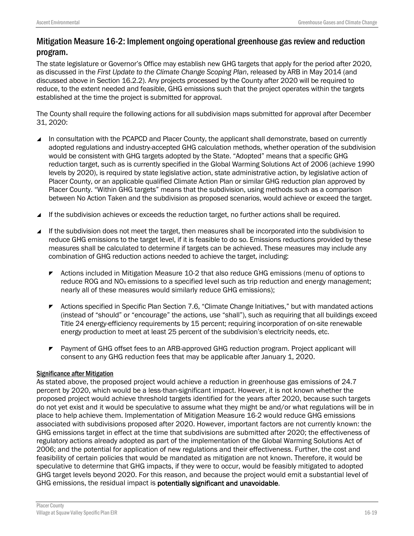## Mitigation Measure 16-2: Implement ongoing operational greenhouse gasreview and reduction program.

The state legislature or Governor's Office may establish new GHG targets that apply for the period after 2020, as discussed in the *First Update to the Climate Change Scoping Plan*, released by ARB in May 2014 (and discussed above in Section 16.2.2). Any projects processed by the County after 2020 will be required to reduce, to the extent needed and feasible, GHG emissions such that the project operates within the targets established at the time the project is submitted for approval.

The County shall require the following actions for all subdivision maps submitted for approval after December 31, 2020:

- In consultation with the PCAPCD and Placer County, the applicant shall demonstrate, based on currently adopted regulations and industry-accepted GHG calculation methods, whether operation of the subdivision would be consistent with GHG targets adopted by the State. "Adopted" means that a specific GHG reduction target, such as is currently specified in the Global Warming Solutions Act of 2006 (achieve 1990 levels by 2020), is required by state legislative action, state administrative action, by legislative action of Placer County, or an applicable qualified Climate Action Plan or similar GHG reduction plan approved by Placer County. "Within GHG targets" means that the subdivision, using methods such as a comparison between No Action Taken and the subdivision as proposed scenarios, would achieve or exceed the target.
- If the subdivision achieves or exceeds the reduction target, no further actions shall be required.
- If the subdivision does not meet the target, then measures shall be incorporated into the subdivision to reduce GHG emissions to the target level, if it is feasible to do so. Emissions reductions provided by these measures shall be calculated to determine if targets can be achieved. These measures may include any combination of GHG reduction actions needed to achieve the target, including:
	- **EXECT** Actions included in Mitigation Measure 10-2 that also reduce GHG emissions (menu of options to reduce ROG and NO<sub>x</sub> emissions to a specified level such as trip reduction and energy management; nearly all of these measures would similarly reduce GHG emissions);
	- Actions specified in Specific Plan Section 7.6, "Climate Change Initiatives," but with mandated actions (instead of "should" or "encourage" the actions, use "shall"), such as requiring that all buildings exceed Title 24 energy-efficiency requirements by 15 percent; requiring incorporation of on-site renewable energy production to meet at least 25 percent of the subdivision's electricity needs, etc.
	- **Payment of GHG offset fees to an ARB-approved GHG reduction program. Project applicant will** consent to any GHG reduction fees that may be applicable after January 1, 2020.

#### Significance after Mitigation

As stated above, the proposed project would achieve a reduction in greenhouse gas emissions of 24.7 percent by 2020, which would be a less-than-significant impact. However, it is not known whether the proposed project would achieve threshold targets identified for the years after 2020, because such targets do not yet exist and it would be speculative to assume what they might be and/or what regulations will be in place to help achieve them. Implementation of Mitigation Measure 16-2 would reduce GHG emissions associated with subdivisions proposed after 2020. However, important factors are not currently known: the GHG emissions target in effect at the time that subdivisions are submitted after 2020; the effectiveness of regulatory actions already adopted as part of the implementation of the Global Warming Solutions Act of 2006; and the potential for application of new regulations and their effectiveness. Further, the cost and feasibility of certain policies that would be mandated as mitigation are not known. Therefore, it would be speculative to determine that GHG impacts, if they were to occur, would be feasibly mitigated to adopted GHG target levels beyond 2020. For this reason, and because the project would emit a substantial level of GHG emissions, the residual impact is potentially significant and unavoidable.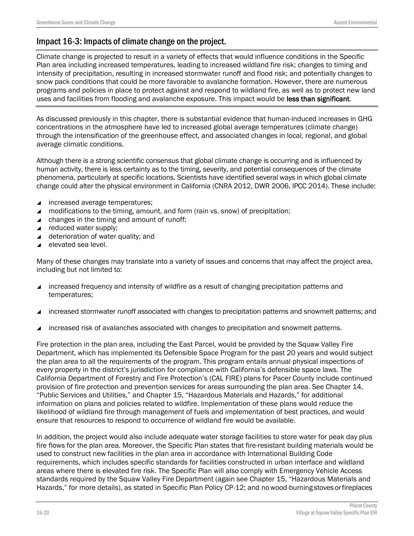## Impact 16-3: Impacts of climate change on the project.

Climate change is projected to result in a variety of effects that would influence conditions in the Specific Plan area including increased temperatures, leading to increased wildland fire risk; changes to timing and intensity of precipitation, resulting in increased stormwater runoff and flood risk; and potentially changes to snow pack conditions that could be more favorable to avalanche formation. However, there are numerous programs and policies in place to protect against and respond to wildland fire, as well as to protect new land uses and facilities from flooding and avalanche exposure. This impact would be less than significant.

As discussed previously in this chapter, there is substantial evidence that human-induced increases in GHG concentrations in the atmosphere have led to increased global average temperatures (climate change) through the intensification of the greenhouse effect, and associated changes in local, regional, and global average climatic conditions.

Although there is a strong scientific consensus that global climate change is occurring and is influenced by human activity, there is less certainty as to the timing, severity, and potential consequences of the climate phenomena, particularly at specific locations. Scientists have identified several ways in which global climate change could alter the physical environment in California (CNRA 2012, DWR 2006, IPCC 2014). These include:

- ▲ increased average temperatures;
- ▲ modifications to the timing, amount, and form (rain vs. snow) of precipitation;
- $\triangle$  changes in the timing and amount of runoff;
- ▲ reduced water supply;
- $\triangleleft$  deterioration of water quality; and
- elevated sea level.

Many of these changes may translate into a variety of issues and concerns that may affect the project area, including but not limited to:

- increased frequency and intensity of wildfire as a result of changing precipitation patterns and temperatures;
- increased stormwater runoff associated with changes to precipitation patterns and snowmelt patterns; and
- increased risk of avalanches associated with changes to precipitation and snowmelt patterns.

Fire protection in the plan area, including the East Parcel, would be provided by the Squaw Valley Fire Department, which has implemented its Defensible Space Program for the past 20 years and would subject the plan area to all the requirements of the program. This program entails annual physical inspections of every property in the district's jurisdiction for compliance with California's defensible space laws. The California Department of Forestry and Fire Protection's (CAL FIRE) plans for Pacer County include continued provision of fire protection and prevention services for areas surrounding the plan area. See Chapter 14, "Public Services and Utilities," and Chapter 15, "Hazardous Materials and Hazards," for additional information on plans and policies related to wildfire. Implementation of these plans would reduce the likelihood of wildland fire through management of fuels and implementation of best practices, and would ensure that resources to respond to occurrence of wildland fire would be available.

In addition, the project would also include adequate water storage facilities to store water for peak day plus fire flows for the plan area. Moreover, the Specific Plan states that fire-resistant building materials would be used to construct new facilities in the plan area in accordance with International Building Code requirements, which includes specific standards for facilities constructed in urban interface and wildland areas where there is elevated fire risk. The Specific Plan will also comply with Emergency Vehicle Access standards required by the Squaw Valley Fire Department (again see Chapter 15, "Hazardous Materials and Hazards," for more details), as stated in Specific Plan Policy CP-12; and nowood-burning stoves orfireplaces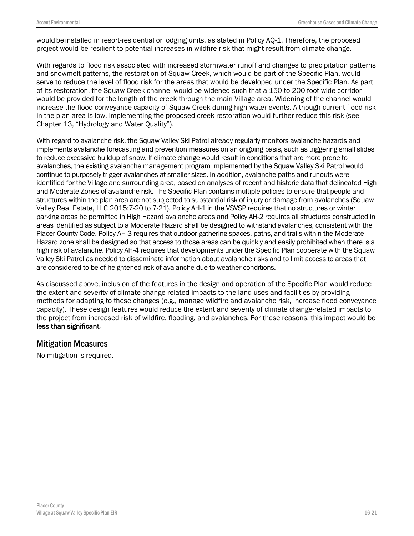would be installed in resort-residential or lodging units, as stated in Policy AQ-1. Therefore, the proposed project would be resilient to potential increases in wildfire risk that might result from climate change.

With regards to flood risk associated with increased stormwater runoff and changes to precipitation patterns and snowmelt patterns, the restoration of Squaw Creek, which would be part of the Specific Plan, would serve to reduce the level of flood risk for the areas that would be developed under the Specific Plan. As part of its restoration, the Squaw Creek channel would be widened such that a 150 to 200-foot-wide corridor would be provided for the length of the creek through the main Village area. Widening of the channel would increase the flood conveyance capacity of Squaw Creek during high-water events. Although current flood risk in the plan area is low, implementing the proposed creek restoration would further reduce this risk (see Chapter 13, "Hydrology and Water Quality").

With regard to avalanche risk, the Squaw Valley Ski Patrol already regularly monitors avalanche hazards and implements avalanche forecasting and prevention measures on an ongoing basis, such as triggering small slides to reduce excessive buildup of snow. If climate change would result in conditions that are more prone to avalanches, the existing avalanche management program implemented by the Squaw Valley Ski Patrol would continue to purposely trigger avalanches at smaller sizes. In addition, avalanche paths and runouts were identified for the Village and surrounding area, based on analyses of recent and historic data that delineated High and Moderate Zones of avalanche risk. The Specific Plan contains multiple policies to ensure that people and structures within the plan area are not subjected to substantial risk of injury or damage from avalanches (Squaw Valley Real Estate, LLC 2015:7-20 to 7-21). Policy AH-1 in the VSVSP requires that no structures or winter parking areas be permitted in High Hazard avalanche areas and Policy AH-2 requires all structures constructed in areas identified as subject to a Moderate Hazard shall be designed to withstand avalanches, consistent with the Placer County Code. Policy AH-3 requires that outdoor gathering spaces, paths, and trails within the Moderate Hazard zone shall be designed so that access to those areas can be quickly and easily prohibited when there is a high risk of avalanche. Policy AH-4 requires that developments under the Specific Plan cooperate with the Squaw Valley Ski Patrol as needed to disseminate information about avalanche risks and to limit access to areas that are considered to be of heightened risk of avalanche due to weather conditions.

As discussed above, inclusion of the features in the design and operation of the Specific Plan would reduce the extent and severity of climate change-related impacts to the land uses and facilities by providing methods for adapting to these changes (e.g., manage wildfire and avalanche risk, increase flood conveyance capacity). These design features would reduce the extent and severity of climate change-related impacts to the project from increased risk of wildfire, flooding, and avalanches. For these reasons, this impact would be less than significant.

### Mitigation Measures

No mitigation is required.